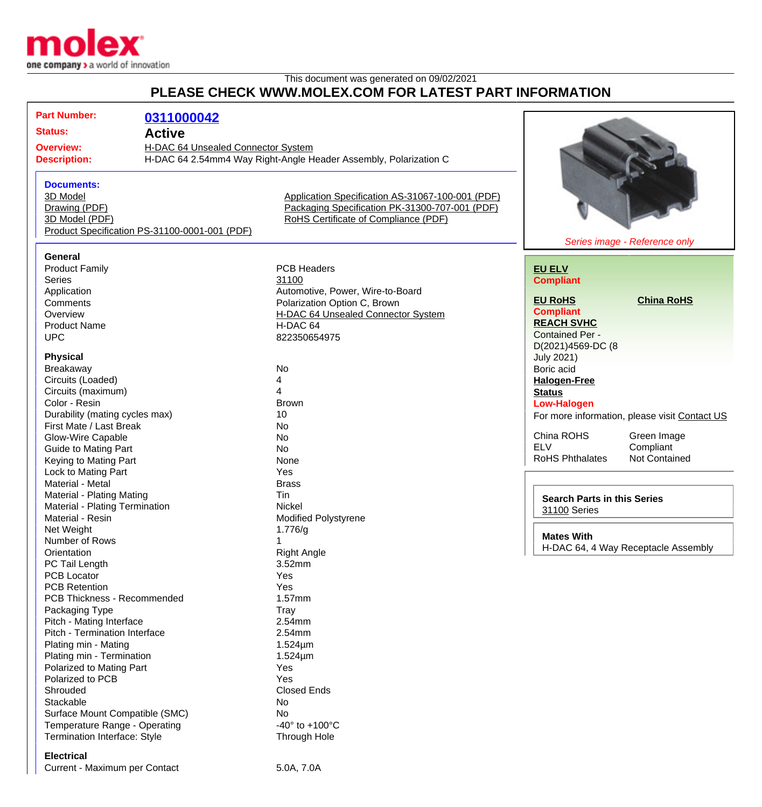

## This document was generated on 09/02/2021 **PLEASE CHECK WWW.MOLEX.COM FOR LATEST PART INFORMATION**

| <b>Part Number:</b>                                    | 0311000042                                                       |                                                  |                                   |                                                          |  |
|--------------------------------------------------------|------------------------------------------------------------------|--------------------------------------------------|-----------------------------------|----------------------------------------------------------|--|
| <b>Status:</b>                                         |                                                                  |                                                  |                                   |                                                          |  |
|                                                        | <b>Active</b>                                                    |                                                  |                                   |                                                          |  |
| H-DAC 64 Unsealed Connector System<br><b>Overview:</b> |                                                                  |                                                  |                                   |                                                          |  |
| <b>Description:</b>                                    | H-DAC 64 2.54mm4 Way Right-Angle Header Assembly, Polarization C |                                                  |                                   |                                                          |  |
|                                                        |                                                                  |                                                  |                                   |                                                          |  |
| <b>Documents:</b>                                      |                                                                  |                                                  |                                   |                                                          |  |
| 3D Model                                               |                                                                  | Application Specification AS-31067-100-001 (PDF) |                                   |                                                          |  |
| Drawing (PDF)                                          |                                                                  | Packaging Specification PK-31300-707-001 (PDF)   |                                   |                                                          |  |
| 3D Model (PDF)                                         |                                                                  | RoHS Certificate of Compliance (PDF)             |                                   |                                                          |  |
|                                                        | Product Specification PS-31100-0001-001 (PDF)                    |                                                  |                                   |                                                          |  |
|                                                        |                                                                  |                                                  |                                   | Series image - Reference only                            |  |
| General                                                |                                                                  |                                                  |                                   |                                                          |  |
| <b>Product Family</b>                                  |                                                                  | <b>PCB Headers</b>                               | <b>EU ELV</b>                     |                                                          |  |
| <b>Series</b>                                          |                                                                  | 31100                                            | <b>Compliant</b>                  |                                                          |  |
| Application                                            |                                                                  | Automotive, Power, Wire-to-Board                 | <b>EU RoHS</b>                    | <b>China RoHS</b>                                        |  |
| Comments                                               |                                                                  | Polarization Option C, Brown                     | <b>Compliant</b>                  |                                                          |  |
| Overview                                               |                                                                  | H-DAC 64 Unsealed Connector System               | <b>REACH SVHC</b>                 |                                                          |  |
| <b>Product Name</b>                                    |                                                                  | H-DAC 64                                         | <b>Contained Per -</b>            |                                                          |  |
| <b>UPC</b>                                             |                                                                  |                                                  | 822350654975<br>D(2021)4569-DC (8 |                                                          |  |
| <b>Physical</b>                                        |                                                                  |                                                  | <b>July 2021)</b>                 |                                                          |  |
| Breakaway                                              |                                                                  | No                                               | Boric acid                        |                                                          |  |
| Circuits (Loaded)                                      |                                                                  | 4                                                | <b>Halogen-Free</b>               |                                                          |  |
| Circuits (maximum)                                     |                                                                  | 4                                                | <b>Status</b>                     |                                                          |  |
| Color - Resin                                          |                                                                  | <b>Brown</b>                                     | <b>Low-Halogen</b>                |                                                          |  |
| Durability (mating cycles max)                         |                                                                  | 10                                               |                                   | For more information, please visit Contact US            |  |
| First Mate / Last Break                                |                                                                  | No                                               |                                   |                                                          |  |
| Glow-Wire Capable                                      |                                                                  | No                                               | China ROHS                        | Green Image                                              |  |
| <b>Guide to Mating Part</b>                            |                                                                  | No                                               | <b>ELV</b>                        | Compliant                                                |  |
| Keying to Mating Part                                  |                                                                  | None                                             | <b>RoHS Phthalates</b>            | Not Contained                                            |  |
| Lock to Mating Part                                    |                                                                  | Yes                                              |                                   |                                                          |  |
| Material - Metal                                       |                                                                  | <b>Brass</b>                                     |                                   |                                                          |  |
| Material - Plating Mating                              |                                                                  | Tin                                              |                                   | <b>Search Parts in this Series</b>                       |  |
| Material - Plating Termination                         |                                                                  | Nickel                                           | 31100 Series                      |                                                          |  |
| Material - Resin                                       |                                                                  | Modified Polystyrene                             |                                   |                                                          |  |
| Net Weight                                             |                                                                  | 1.776/g                                          |                                   |                                                          |  |
| Number of Rows                                         |                                                                  |                                                  |                                   | <b>Mates With</b><br>H-DAC 64, 4 Way Receptacle Assembly |  |
| Orientation                                            |                                                                  | <b>Right Angle</b>                               |                                   |                                                          |  |
| PC Tail Length                                         |                                                                  | 3.52mm                                           |                                   |                                                          |  |
| <b>PCB Locator</b>                                     |                                                                  | Yes                                              |                                   |                                                          |  |
| <b>PCB Retention</b>                                   |                                                                  | Yes                                              |                                   |                                                          |  |
| PCB Thickness - Recommended                            |                                                                  | $1.57$ mm                                        |                                   |                                                          |  |
| Packaging Type                                         |                                                                  | Tray                                             |                                   |                                                          |  |
| Pitch - Mating Interface                               |                                                                  | 2.54mm                                           |                                   |                                                          |  |
| Pitch - Termination Interface                          |                                                                  | 2.54mm                                           |                                   |                                                          |  |
| Plating min - Mating                                   |                                                                  | $1.524 \mu m$                                    |                                   |                                                          |  |
| Plating min - Termination                              |                                                                  | $1.524 \mu m$                                    |                                   |                                                          |  |
| Polarized to Mating Part                               |                                                                  | Yes                                              |                                   |                                                          |  |
| Polarized to PCB                                       |                                                                  | Yes                                              |                                   |                                                          |  |
| Shrouded                                               |                                                                  | <b>Closed Ends</b>                               |                                   |                                                          |  |
| Stackable                                              |                                                                  | No                                               |                                   |                                                          |  |
| Surface Mount Compatible (SMC)                         |                                                                  | No.                                              |                                   |                                                          |  |
| Temperature Range - Operating                          |                                                                  | -40 $^{\circ}$ to +100 $^{\circ}$ C              |                                   |                                                          |  |
| Termination Interface: Style                           |                                                                  | Through Hole                                     |                                   |                                                          |  |

## **Electrical**

Current - Maximum per Contact 5.0A, 7.0A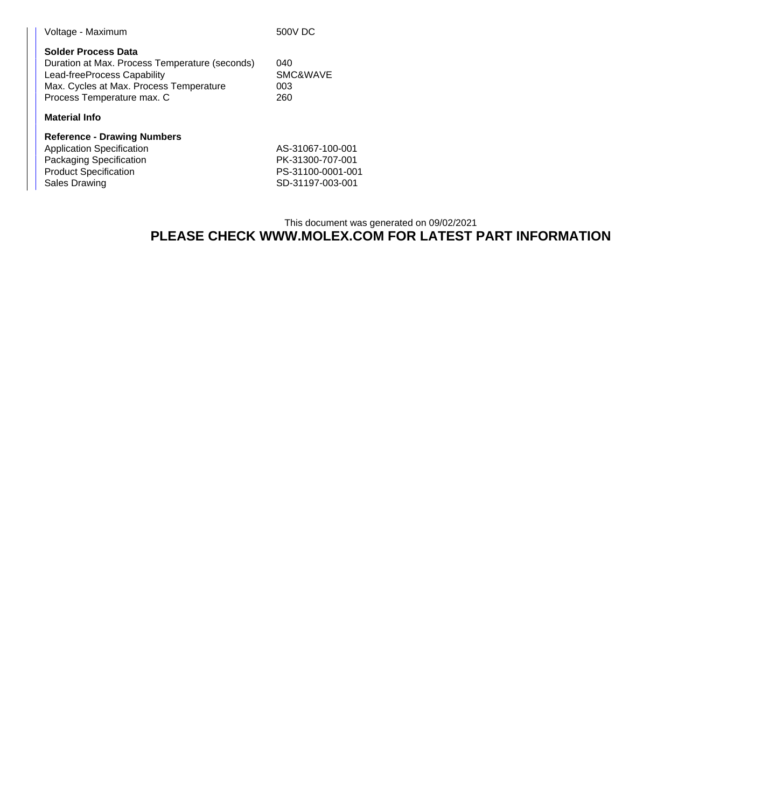| Voltage - Maximum                                                                                                                                                             | 500V DC                       |  |  |  |
|-------------------------------------------------------------------------------------------------------------------------------------------------------------------------------|-------------------------------|--|--|--|
| Solder Process Data<br>Duration at Max. Process Temperature (seconds)<br>Lead-freeProcess Capability<br>Max. Cycles at Max. Process Temperature<br>Process Temperature max. C | 040<br>SMC&WAVE<br>003<br>260 |  |  |  |
| <b>Material Info</b>                                                                                                                                                          |                               |  |  |  |
| <b>Reference - Drawing Numbers</b>                                                                                                                                            |                               |  |  |  |

| Application Specification    | AS-31067-100-001  |
|------------------------------|-------------------|
| Packaging Specification      | PK-31300-707-001  |
| <b>Product Specification</b> | PS-31100-0001-001 |
| Sales Drawing                | SD-31197-003-001  |

## This document was generated on 09/02/2021 **PLEASE CHECK WWW.MOLEX.COM FOR LATEST PART INFORMATION**